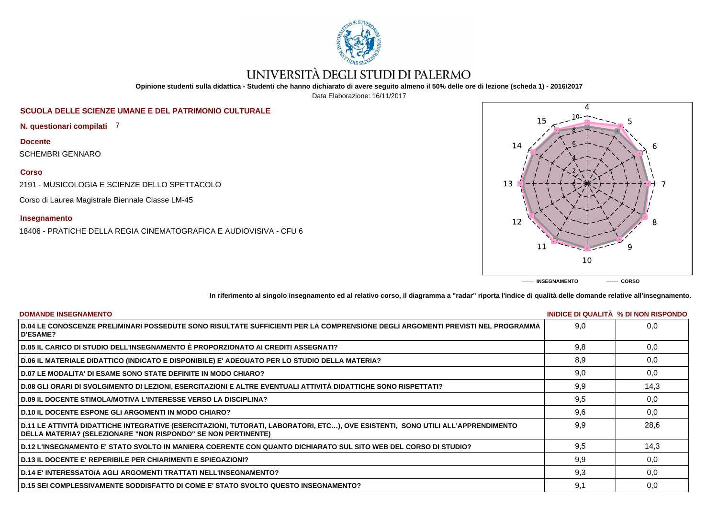

# UNIVERSITÀ DEGLI STUDI DI PALERMO

**Opinione studenti sulla didattica - Studenti che hanno dichiarato di avere seguito almeno il 50% delle ore di lezione (scheda 1) - 2016/2017**

Data Elaborazione: 16/11/2017

## **SCUOLA DELLE SCIENZE UMANE E DEL PATRIMONIO CULTURALE**

**N. questionari compilati** 7

**Docente**

SCHEMBRI GENNARO

### **Corso**

2191 - MUSICOLOGIA E SCIENZE DELLO SPETTACOLO

Corso di Laurea Magistrale Biennale Classe LM-45

#### **Insegnamento**

18406 - PRATICHE DELLA REGIA CINEMATOGRAFICA E AUDIOVISIVA - CFU 6



**In riferimento al singolo insegnamento ed al relativo corso, il diagramma a "radar" riporta l'indice di qualità delle domande relative all'insegnamento.**

| <b>DOMANDE INSEGNAMENTO</b>                                                                                                                                                                             |     | INIDICE DI QUALITA % DI NON RISPONDO |
|---------------------------------------------------------------------------------------------------------------------------------------------------------------------------------------------------------|-----|--------------------------------------|
| D.04 LE CONOSCENZE PRELIMINARI POSSEDUTE SONO RISULTATE SUFFICIENTI PER LA COMPRENSIONE DEGLI ARGOMENTI PREVISTI NEL PROGRAMMA<br><b>D'ESAME?</b>                                                       | 9.0 | 0.0                                  |
| D.05 IL CARICO DI STUDIO DELL'INSEGNAMENTO È PROPORZIONATO AI CREDITI ASSEGNATI?                                                                                                                        | 9.8 | 0.0                                  |
| D.06 IL MATERIALE DIDATTICO (INDICATO E DISPONIBILE) E' ADEGUATO PER LO STUDIO DELLA MATERIA?                                                                                                           | 8,9 | 0,0                                  |
| D.07 LE MODALITA' DI ESAME SONO STATE DEFINITE IN MODO CHIARO?                                                                                                                                          | 9,0 | 0,0                                  |
| D.08 GLI ORARI DI SVOLGIMENTO DI LEZIONI, ESERCITAZIONI E ALTRE EVENTUALI ATTIVITÀ DIDATTICHE SONO RISPETTATI?                                                                                          | 9.9 | 14,3                                 |
| <b>D.09 IL DOCENTE STIMOLA/MOTIVA L'INTERESSE VERSO LA DISCIPLINA?</b>                                                                                                                                  | 9,5 | 0,0                                  |
| <b>D.10 IL DOCENTE ESPONE GLI ARGOMENTI IN MODO CHIARO?</b>                                                                                                                                             | 9,6 | 0,0                                  |
| D.11 LE ATTIVITÀ DIDATTICHE INTEGRATIVE (ESERCITAZIONI, TUTORATI, LABORATORI, ETC), OVE ESISTENTI, SONO UTILI ALL'APPRENDIMENTO<br><b>DELLA MATERIA? (SELEZIONARE "NON RISPONDO" SE NON PERTINENTE)</b> | 9.9 | 28,6                                 |
| D.12 L'INSEGNAMENTO E' STATO SVOLTO IN MANIERA COERENTE CON QUANTO DICHIARATO SUL SITO WEB DEL CORSO DI STUDIO?                                                                                         | 9,5 | 14,3                                 |
| <b>D.13 IL DOCENTE E' REPERIBILE PER CHIARIMENTI E SPIEGAZIONI?</b>                                                                                                                                     | 9,9 | 0,0                                  |
| <b>D.14 E' INTERESSATO/A AGLI ARGOMENTI TRATTATI NELL'INSEGNAMENTO?</b>                                                                                                                                 | 9.3 | 0.0                                  |
| D.15 SEI COMPLESSIVAMENTE SODDISFATTO DI COME E' STATO SVOLTO QUESTO INSEGNAMENTO?                                                                                                                      | 9,1 | 0,0                                  |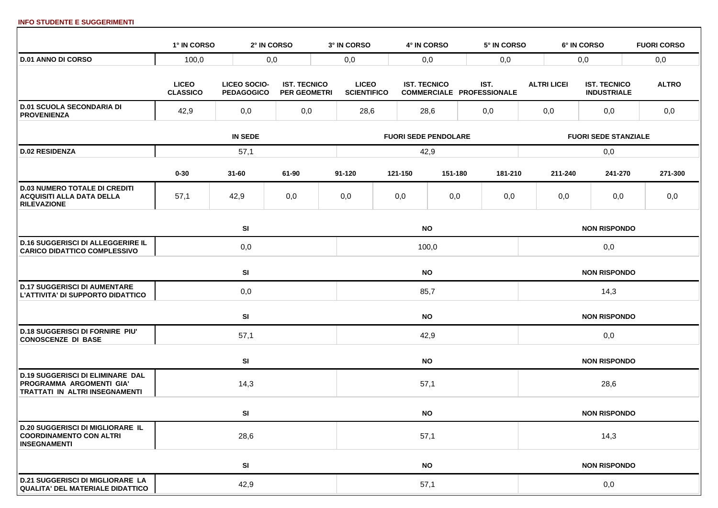#### **INFO STUDENTE E SUGGERIMENTI**

|                                                                                                       | 1° IN CORSO                     |                                          | 2° IN CORSO                                | 3° IN CORSO                        | 4° IN CORSO                 | 5° IN CORSO                              |                    | 6° IN CORSO                               | <b>FUORI CORSO</b> |
|-------------------------------------------------------------------------------------------------------|---------------------------------|------------------------------------------|--------------------------------------------|------------------------------------|-----------------------------|------------------------------------------|--------------------|-------------------------------------------|--------------------|
| <b>D.01 ANNO DI CORSO</b>                                                                             | 100,0                           |                                          | 0,0                                        | 0,0                                | 0,0                         | 0,0                                      |                    | 0,0                                       | 0,0                |
|                                                                                                       | <b>LICEO</b><br><b>CLASSICO</b> | <b>LICEO SOCIO-</b><br><b>PEDAGOGICO</b> | <b>IST. TECNICO</b><br><b>PER GEOMETRI</b> | <b>LICEO</b><br><b>SCIENTIFICO</b> | <b>IST. TECNICO</b>         | IST.<br><b>COMMERCIALE PROFESSIONALE</b> | <b>ALTRI LICEI</b> | <b>IST. TECNICO</b><br><b>INDUSTRIALE</b> | <b>ALTRO</b>       |
| <b>D.01 SCUOLA SECONDARIA DI</b><br><b>PROVENIENZA</b>                                                | 42,9                            | 0,0                                      | 0,0                                        | 28,6                               | 28,6                        | 0,0                                      | 0,0                | 0,0                                       | 0,0                |
|                                                                                                       |                                 | <b>IN SEDE</b>                           |                                            |                                    | <b>FUORI SEDE PENDOLARE</b> |                                          |                    | <b>FUORI SEDE STANZIALE</b>               |                    |
| <b>D.02 RESIDENZA</b>                                                                                 |                                 | 57,1                                     |                                            |                                    | 42,9                        |                                          |                    | 0,0                                       |                    |
|                                                                                                       | $0 - 30$                        | $31 - 60$                                | 61-90                                      | 91-120                             | 121-150                     | 151-180<br>181-210                       | 211-240            | 241-270                                   | 271-300            |
| <b>D.03 NUMERO TOTALE DI CREDITI</b><br><b>ACQUISITI ALLA DATA DELLA</b><br><b>RILEVAZIONE</b>        | 57,1                            | 42,9                                     | 0,0                                        | 0,0                                | 0,0                         | 0,0<br>0,0                               | 0,0                | 0,0                                       | 0,0                |
|                                                                                                       |                                 | SI                                       |                                            |                                    | <b>NO</b>                   |                                          |                    | <b>NON RISPONDO</b>                       |                    |
| <b>D.16 SUGGERISCI DI ALLEGGERIRE IL</b><br><b>CARICO DIDATTICO COMPLESSIVO</b>                       |                                 | 0,0                                      |                                            |                                    | 100,0                       |                                          |                    | 0,0                                       |                    |
|                                                                                                       |                                 | <b>SI</b>                                |                                            |                                    | <b>NO</b>                   |                                          |                    | <b>NON RISPONDO</b>                       |                    |
| <b>D.17 SUGGERISCI DI AUMENTARE</b><br>L'ATTIVITA' DI SUPPORTO DIDATTICO                              |                                 | 0,0                                      |                                            |                                    | 85,7                        |                                          |                    | 14,3                                      |                    |
|                                                                                                       |                                 | SI                                       |                                            |                                    | <b>NO</b>                   |                                          |                    | <b>NON RISPONDO</b>                       |                    |
| <b>D.18 SUGGERISCI DI FORNIRE PIU'</b><br><b>CONOSCENZE DI BASE</b>                                   |                                 | 57,1                                     |                                            |                                    | 42,9                        |                                          |                    | 0,0                                       |                    |
|                                                                                                       |                                 | SI                                       |                                            |                                    | <b>NO</b>                   |                                          |                    | <b>NON RISPONDO</b>                       |                    |
| <b>D.19 SUGGERISCI DI ELIMINARE DAL</b><br>PROGRAMMA ARGOMENTI GIA'<br>TRATTATI IN ALTRI INSEGNAMENTI |                                 | 14,3                                     |                                            |                                    | 57,1                        |                                          |                    | 28,6                                      |                    |
|                                                                                                       |                                 | SI                                       |                                            |                                    | <b>NO</b>                   |                                          |                    | <b>NON RISPONDO</b>                       |                    |
| <b>D.20 SUGGERISCI DI MIGLIORARE IL</b><br><b>COORDINAMENTO CON ALTRI</b><br><b>INSEGNAMENTI</b>      |                                 | 28,6                                     |                                            |                                    | 57,1                        |                                          |                    | 14,3                                      |                    |
|                                                                                                       |                                 | SI                                       |                                            |                                    | <b>NO</b>                   |                                          |                    | <b>NON RISPONDO</b>                       |                    |
| <b>D.21 SUGGERISCI DI MIGLIORARE LA</b><br><b>QUALITA' DEL MATERIALE DIDATTICO</b>                    |                                 | 42,9                                     |                                            |                                    | 57,1                        |                                          |                    | 0,0                                       |                    |